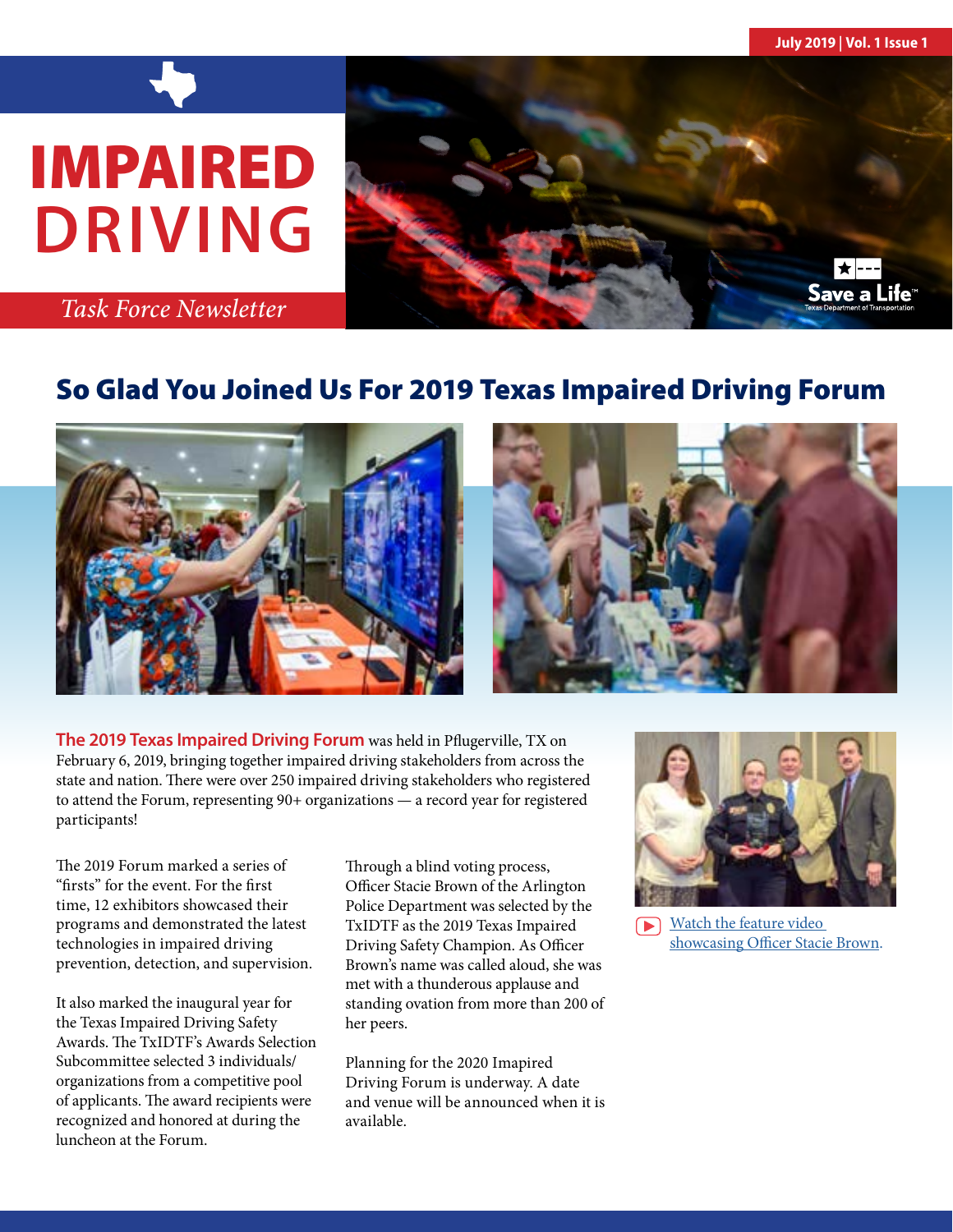**July 2019 | Vol. 1 Issue 1**

# IMPAIRED **DRIVING**



*Task Force Newsletter*

# So Glad You Joined Us For 2019 Texas Impaired Driving Forum





**The 2019 Texas Impaired Driving Forum** was held in Pflugerville, TX on February 6, 2019, bringing together impaired driving stakeholders from across the state and nation. There were over 250 impaired driving stakeholders who registered to attend the Forum, representing 90+ organizations — a record year for registered participants!

The 2019 Forum marked a series of "firsts" for the event. For the first time, 12 exhibitors showcased their programs and demonstrated the latest technologies in impaired driving prevention, detection, and supervision.

It also marked the inaugural year for the Texas Impaired Driving Safety Awards. The TxIDTF's Awards Selection Subcommittee selected 3 individuals/ organizations from a competitive pool of applicants. The award recipients were recognized and honored at during the luncheon at the Forum.

Through a blind voting process, Officer Stacie Brown of the Arlington Police Department was selected by the TxIDTF as the 2019 Texas Impaired Driving Safety Champion. As Officer Brown's name was called aloud, she was met with a thunderous applause and standing ovation from more than 200 of her peers.

Planning for the 2020 Imapired Driving Forum is underway. A date and venue will be announced when it is available.



[Watch the feature video](https://www.youtube.com/watch?v=blbIMveXhWw&feature=youtu.be)  [showcasing Officer Stacie Brown](https://www.youtube.com/watch?v=blbIMveXhWw&feature=youtu.be).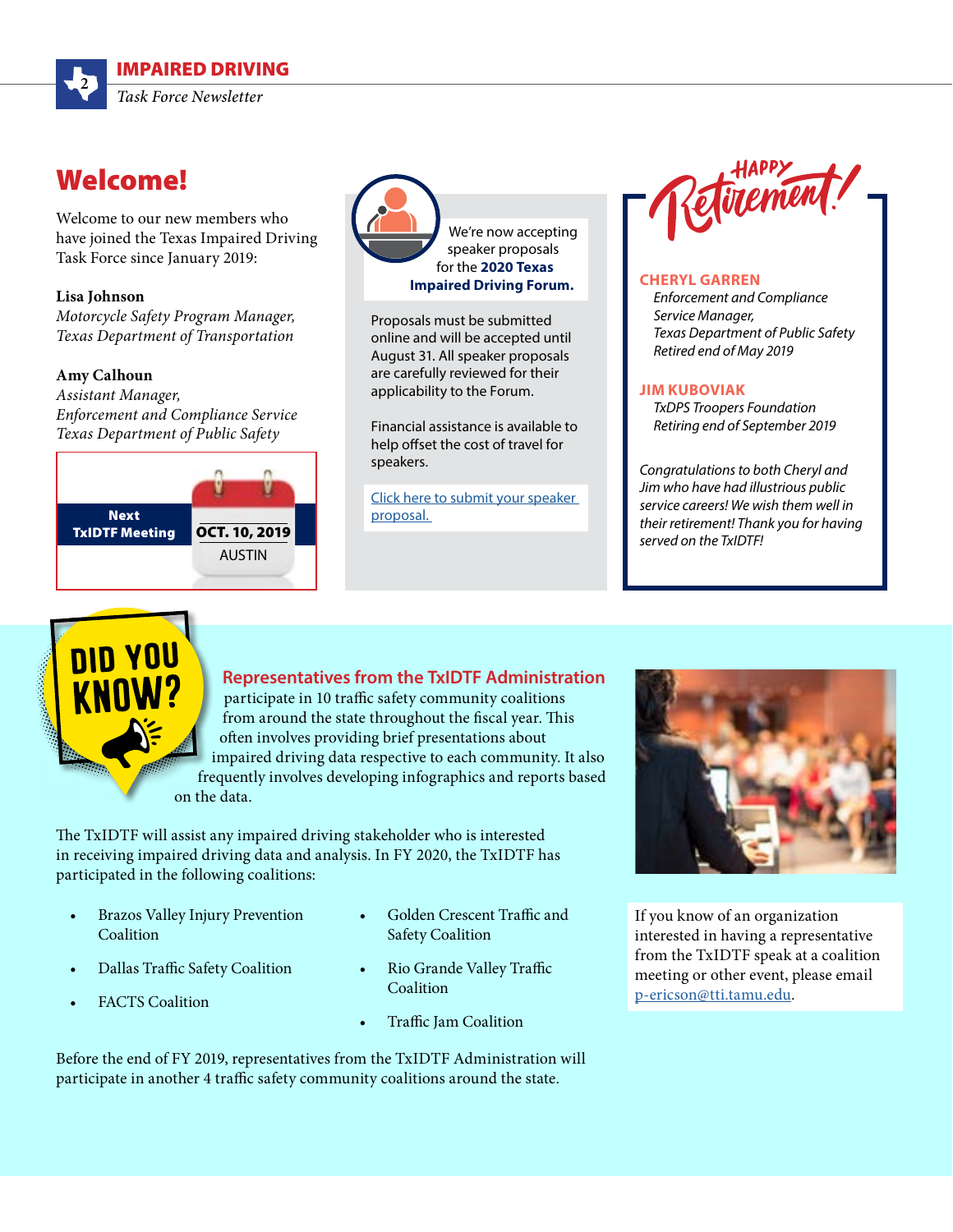

## Welcome!

Welcome to our new members who have joined the Texas Impaired Driving Task Force since January 2019:

#### **Lisa Johnson**

*Motorcycle Safety Program Manager, Texas Department of Transportation* 

#### **Amy Calhoun**

*Assistant Manager, Enforcement and Compliance Service Texas Department of Public Safety*





Proposals must be submitted online and will be accepted until August 31. All speaker proposals are carefully reviewed for their applicability to the Forum.

Financial assistance is available to help offset the cost of travel for speakers.

[Click here to submit your speaker](https://www.texasimpaireddrivingtaskforce.org/impaired-driving-forum/call-for-speakers/)  [proposal.](https://www.texasimpaireddrivingtaskforce.org/impaired-driving-forum/call-for-speakers/) 



#### **CHERYL GARREN**

*Enforcement and Compliance Service Manager, Texas Department of Public Safety Retired end of May 2019*

#### **JIM KUBOVIAK**

*TxDPS Troopers Foundation Retiring end of September 2019* 

*Congratulations to both Cheryl and Jim who have had illustrious public service careers! We wish them well in their retirement! Thank you for having served on the TxIDTF!*

### **Representatives from the TxIDTF Administration**

participate in 10 traffic safety community coalitions from around the state throughout the fiscal year. This often involves providing brief presentations about impaired driving data respective to each community. It also frequently involves developing infographics and reports based on the data.

The TxIDTF will assist any impaired driving stakeholder who is interested in receiving impaired driving data and analysis. In FY 2020, the TxIDTF has participated in the following coalitions:

- Brazos Valley Injury Prevention Coalition
- Dallas Traffic Safety Coalition
- **FACTS** Coalition
- Golden Crescent Traffic and Safety Coalition
- Rio Grande Valley Traffic Coalition
- Traffic Jam Coalition

If you know of an organization interested in having a representative from the TxIDTF speak at a coalition meeting or other event, please email [p-ericson@tti.tamu.edu.](mailto:p-ericson%40tti.tamu.edu?subject=)

Before the end of FY 2019, representatives from the TxIDTF Administration will participate in another 4 traffic safety community coalitions around the state.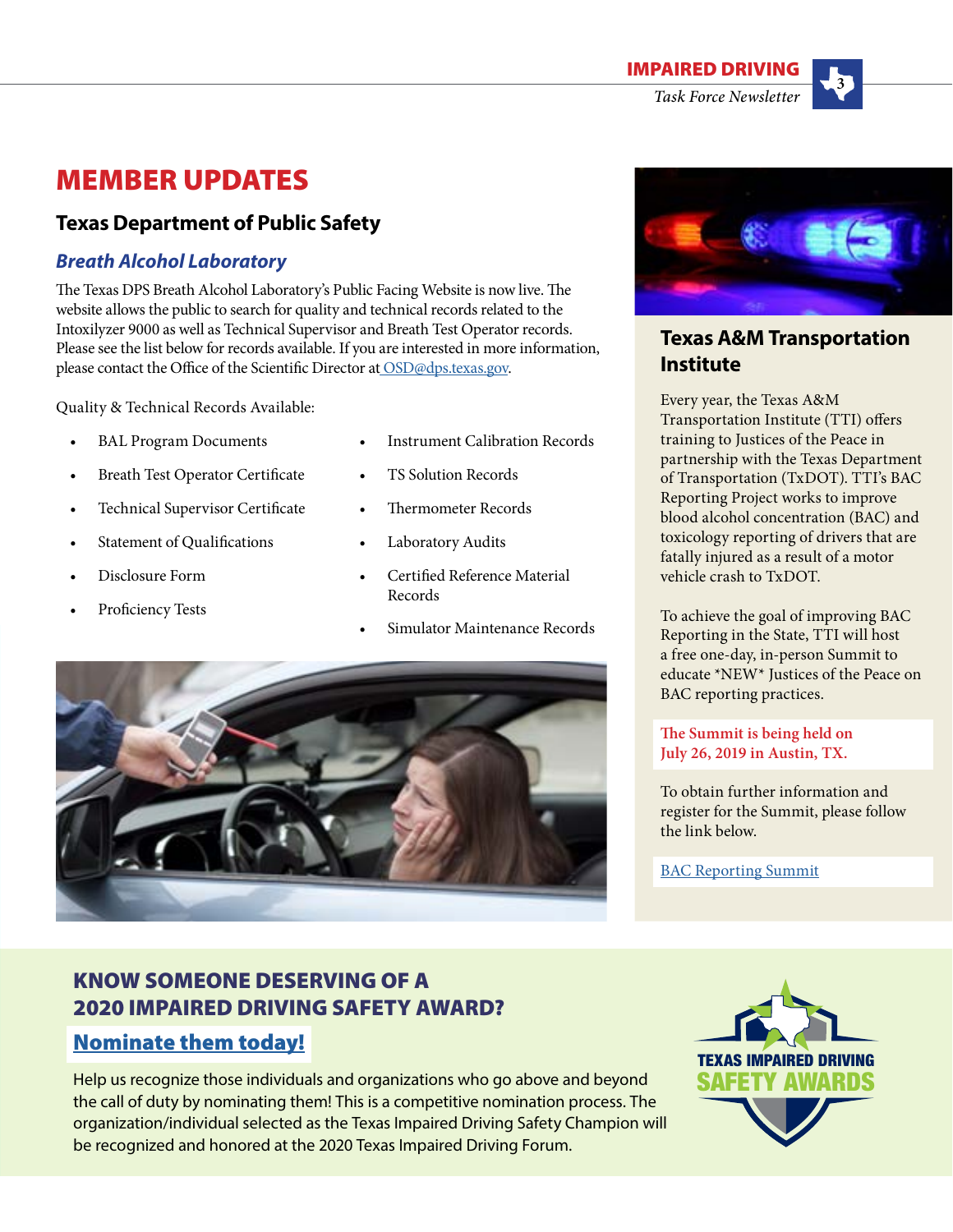

# MEMBER UPDATES

### **Texas Department of Public Safety**

### *Breath Alcohol Laboratory*

The Texas DPS Breath Alcohol Laboratory's Public Facing Website is now live. The website allows the public to search for quality and technical records related to the Intoxilyzer 9000 as well as Technical Supervisor and Breath Test Operator records. Please see the list below for records available. If you are interested in more information, please contact the Office of the Scientific Director a[t OSD@dps.texas.gov.](mailto:%20OSD%40dps.texas.gov?subject=)

Quality & Technical Records Available:

- **BAL Program Documents**
- Breath Test Operator Certificate
- Technical Supervisor Certificate
- Statement of Qualifications
- Disclosure Form
- Proficiency Tests
- Instrument Calibration Records
- TS Solution Records
- Thermometer Records
- Laboratory Audits
- Certified Reference Material Records
- Simulator Maintenance Records





### **Texas A&M Transportation Institute**

Every year, the Texas A&M Transportation Institute (TTI) offers training to Justices of the Peace in partnership with the Texas Department of Transportation (TxDOT). TTI's BAC Reporting Project works to improve blood alcohol concentration (BAC) and toxicology reporting of drivers that are fatally injured as a result of a motor vehicle crash to TxDOT.

To achieve the goal of improving BAC Reporting in the State, TTI will host a free one-day, in-person Summit to educate \*NEW\* Justices of the Peace on BAC reporting practices.

### **The Summit is being held on July 26, 2019 in Austin, TX.**

To obtain further information and register for the Summit, please follow the link below.

[BAC Reporting Summit](https://groups.tti.tamu.edu/cades/summit-on-improving-blood-alcohol-concentration-reporting-in-texas-2/)

### KNOW SOMEONE DESERVING OF A 2020 IMPAIRED DRIVING SAFETY AWARD? [Nominate them today!](https://www.texasimpaireddrivingtaskforce.org/texas-impaired-driving-safety-champion-award-2/)

Help us recognize those individuals and organizations who go above and beyond the call of duty by nominating them! This is a competitive nomination process. The organization/individual selected as the Texas Impaired Driving Safety Champion will be recognized and honored at the 2020 Texas Impaired Driving Forum.